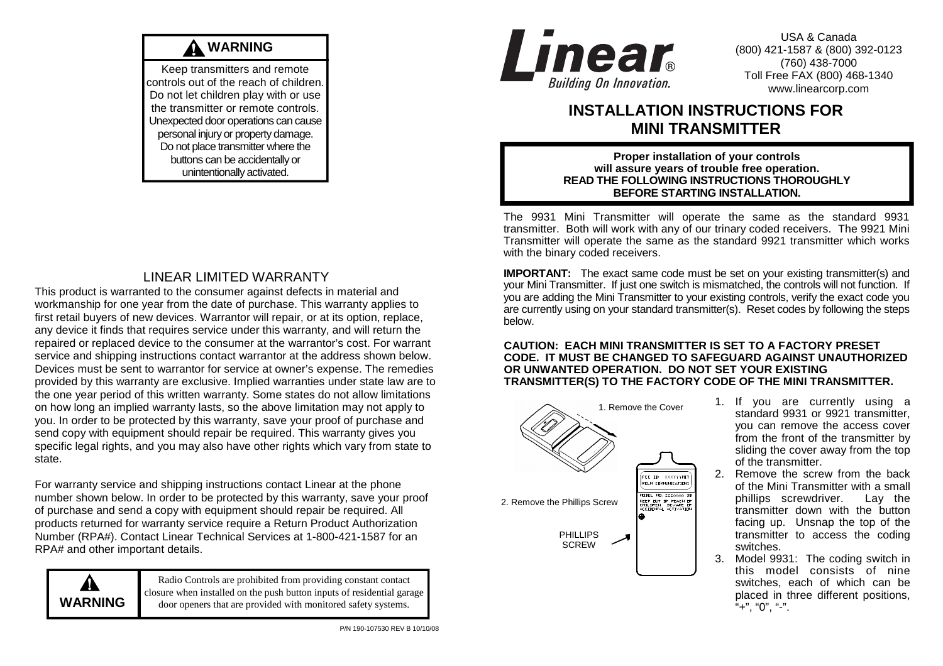# **WARNING**

Keep transmitters and remote controls out of the reach of children. Do not let children play with or use the transmitter or remote controls. Unexpected door operations can cause personal injury or property damage. Do not place transmitter where the buttons can be accidentally or unintentionally activated.

## LINEAR LIMITED WARRANTY

 This product is warranted to the consumer against defects in material and workmanship for one year from the date of purchase. This warranty applies to first retail buyers of new devices. Warrantor will repair, or at its option, replace, any device it finds that requires service under this warranty, and will return the repaired or replaced device to the consumer at the warrantor's cost. For warrant service and shipping instructions contact warrantor at the address shown below. Devices must be sent to warrantor for service at owner's expense. The remedies provided by this warranty are exclusive. Implied warranties under state law are to the one year period of this written warranty. Some states do not allow limitations on how long an implied warranty lasts, so the above limitation may not apply to you. In order to be protected by this warranty, save your proof of purchase and send copy with equipment should repair be required. This warranty gives you specific legal rights, and you may also have other rights which vary from state to state.

For warranty service and shipping instructions contact Linear at the phone number shown below. In order to be protected by this warranty, save your proof of purchase and send a copy with equipment should repair be required. All products returned for warranty service require a Return Product Authorization Number (RPA#). Contact Linear Technical Services at 1-800-421-1587 for an RPA# and other important details.



Radio Controls are prohibited from providing constant contact closure when installed on the push button inputs of residential garage door openers that are provided with monitored safety systems.



USA & Canada (800) 421-1587 & (800) 392-0123 (760) 438-7000 Toll Free FAX (800) 468-1340 www.linearcorp.com

## **INSTALLATION INSTRUCTIONS FOR MINI TRANSMITTER**

**Proper installation of your controls will assure years of trouble free operation. READ THE FOLLOWING INSTRUCTIONS THOROUGHLY BEFORE STARTING INSTALLATION.**

The 9931 Mini Transmitter will operate the same as the standard 9931 transmitter. Both will work with any of our trinary coded receivers. The 9921 Mini Transmitter will operate the same as the standard 9921 transmitter which works with the binary coded receivers.

**IMPORTANT:** The exact same code must be set on your existing transmitter(s) and your Mini Transmitter. If just one switch is mismatched, the controls will not function. If you are adding the Mini Transmitter to your existing controls, verify the exact code you are currently using on your standard transmitter(s). Reset codes by following the steps below.

#### **CAUTION: EACH MINI TRANSMITTER IS SET TO A FACTORY PRESET CODE. IT MUST BE CHANGED TO SAFEGUARD AGAINST UNAUTHORIZED OR UNWANTED OPERATION. DO NOT SET YOUR EXISTING TRANSMITTER(S) TO THE FACTORY CODE OF THE MINI TRANSMITTER.**



- 1. If you are currently using a standard 9931 or 9921 transmitter, you can remove the access cover from the front of the transmitter by sliding the cover away from the top of the transmitter.
- 2. Remove the screw from the back of the Mini Transmitter with a small Lav the phillips screwdriver. transmitter down with the button facing up. Unsnap the top of the transmitter to access the coding switches.
- 3. Model 9931: The coding switch in this model consists of nine switches, each of which can be placed in three different positions,  $"+", "0", "-".$